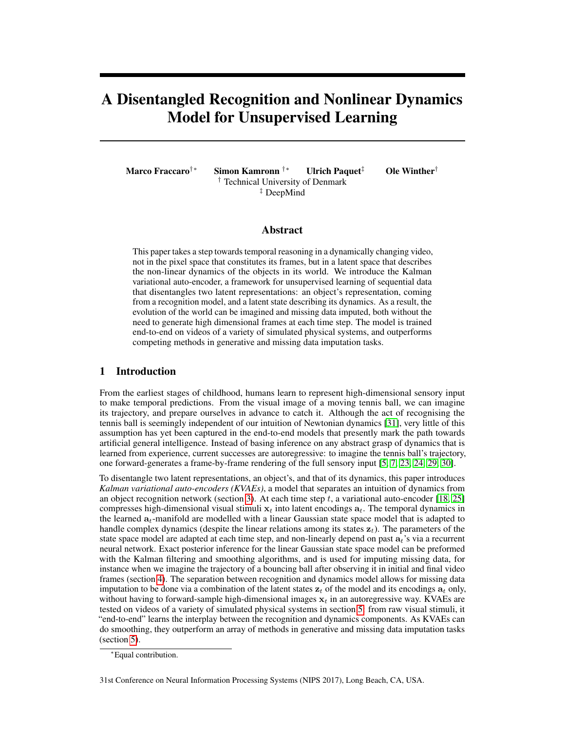# A Disentangled Recognition and Nonlinear Dynamics Model for Unsupervised Learning

Marco Fraccaro<sup>†</sup>\* Simon Kamronn <sup>†</sup>\* Ulrich Paquet<sup>‡</sup> Ole Winther<sup>†</sup> † Technical University of Denmark ‡ DeepMind

## Abstract

This paper takes a step towards temporal reasoning in a dynamically changing video, not in the pixel space that constitutes its frames, but in a latent space that describes the non-linear dynamics of the objects in its world. We introduce the Kalman variational auto-encoder, a framework for unsupervised learning of sequential data that disentangles two latent representations: an object's representation, coming from a recognition model, and a latent state describing its dynamics. As a result, the evolution of the world can be imagined and missing data imputed, both without the need to generate high dimensional frames at each time step. The model is trained end-to-end on videos of a variety of simulated physical systems, and outperforms competing methods in generative and missing data imputation tasks.

# 1 Introduction

From the earliest stages of childhood, humans learn to represent high-dimensional sensory input to make temporal predictions. From the visual image of a moving tennis ball, we can imagine its trajectory, and prepare ourselves in advance to catch it. Although the act of recognising the tennis ball is seemingly independent of our intuition of Newtonian dynamics [31], very little of this assumption has yet been captured in the end-to-end models that presently mark the path towards artificial general intelligence. Instead of basing inference on any abstract grasp of dynamics that is learned from experience, current successes are autoregressive: to imagine the tennis ball's trajectory, one forward-generates a frame-by-frame rendering of the full sensory input [5, 7, 23, 24, 29, 30].

To disentangle two latent representations, an object's, and that of its dynamics, this paper introduces *Kalman variational auto-encoders (KVAEs)*, a model that separates an intuition of dynamics from an object recognition network (section 3). At each time step  $t$ , a variational auto-encoder [18, 25] compresses high-dimensional visual stimuli  $x_t$  into latent encodings  $a_t$ . The temporal dynamics in the learned  $a_t$ -manifold are modelled with a linear Gaussian state space model that is adapted to handle complex dynamics (despite the linear relations among its states  $z_t$ ). The parameters of the state space model are adapted at each time step, and non-linearly depend on past  $a_t$ 's via a recurrent neural network. Exact posterior inference for the linear Gaussian state space model can be preformed with the Kalman filtering and smoothing algorithms, and is used for imputing missing data, for instance when we imagine the trajectory of a bouncing ball after observing it in initial and final video frames (section 4). The separation between recognition and dynamics model allows for missing data imputation to be done via a combination of the latent states  $z_t$  of the model and its encodings  $a_t$  only, without having to forward-sample high-dimensional images  $x_t$  in an autoregressive way. KVAEs are tested on videos of a variety of simulated physical systems in section 5: from raw visual stimuli, it "end-to-end" learns the interplay between the recognition and dynamics components. As KVAEs can do smoothing, they outperform an array of methods in generative and missing data imputation tasks (section 5).

<sup>∗</sup>Equal contribution.

<sup>31</sup>st Conference on Neural Information Processing Systems (NIPS 2017), Long Beach, CA, USA.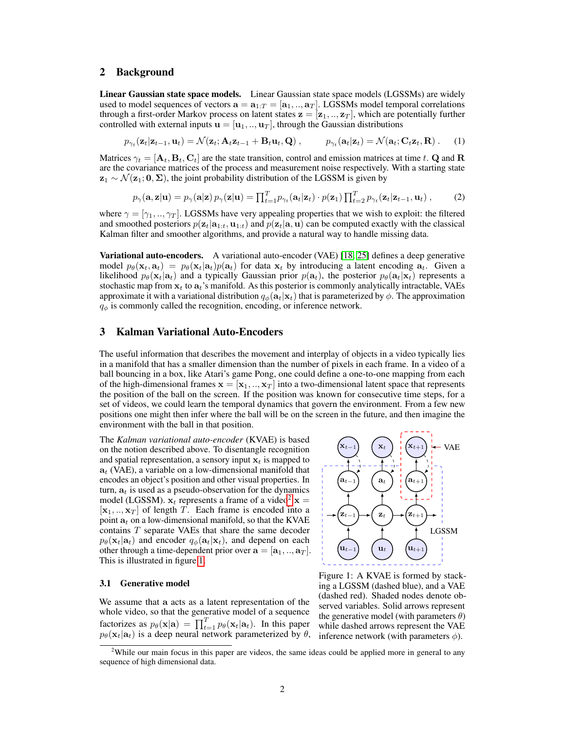## 2 Background

Linear Gaussian state space models. Linear Gaussian state space models (LGSSMs) are widely used to model sequences of vectors  $\mathbf{a} = \mathbf{a}_{1:T} = [\mathbf{a}_1, ..., \mathbf{a}_T]$ . LGSSMs model temporal correlations through a first-order Markov process on latent states  $z = [z_1, ..., z_T]$ , which are potentially further controlled with external inputs  $\mathbf{u} = [\mathbf{u}_1, ..., \mathbf{u}_T]$ , through the Gaussian distributions

$$
p_{\gamma_t}(\mathbf{z}_t|\mathbf{z}_{t-1},\mathbf{u}_t) = \mathcal{N}(\mathbf{z}_t;\mathbf{A}_t\mathbf{z}_{t-1} + \mathbf{B}_t\mathbf{u}_t,\mathbf{Q}), \qquad p_{\gamma_t}(\mathbf{a}_t|\mathbf{z}_t) = \mathcal{N}(\mathbf{a}_t;\mathbf{C}_t\mathbf{z}_t,\mathbf{R}). \tag{1}
$$

Matrices  $\gamma_t = [\mathbf{A}_t, \mathbf{B}_t, \mathbf{C}_t]$  are the state transition, control and emission matrices at time t. Q and R are the covariance matrices of the process and measurement noise respectively. With a starting state  $z_1 \sim \mathcal{N}(z_1; 0, \Sigma)$ , the joint probability distribution of the LGSSM is given by

$$
p_{\gamma}(\mathbf{a}, \mathbf{z}|\mathbf{u}) = p_{\gamma}(\mathbf{a}|\mathbf{z}) p_{\gamma}(\mathbf{z}|\mathbf{u}) = \prod_{t=1}^{T} p_{\gamma_t}(\mathbf{a}_t|\mathbf{z}_t) \cdot p(\mathbf{z}_1) \prod_{t=2}^{T} p_{\gamma_t}(\mathbf{z}_t|\mathbf{z}_{t-1}, \mathbf{u}_t) ,\qquad(2)
$$

where  $\gamma = [\gamma_1, ..., \gamma_T]$ . LGSSMs have very appealing properties that we wish to exploit: the filtered and smoothed posteriors  $p(\mathbf{z}_t|\mathbf{a}_{1:t}, \mathbf{u}_{1:t})$  and  $p(\mathbf{z}_t|\mathbf{a}, \mathbf{u})$  can be computed exactly with the classical Kalman filter and smoother algorithms, and provide a natural way to handle missing data.

Variational auto-encoders. A variational auto-encoder (VAE) [18, 25] defines a deep generative model  $p_{\theta}(\mathbf{x}_t, \mathbf{a}_t) = p_{\theta}(\mathbf{x}_t | \mathbf{a}_t) p(\mathbf{a}_t)$  for data  $\mathbf{x}_t$  by introducing a latent encoding  $\mathbf{a}_t$ . Given a likelihood  $p_\theta(\mathbf{x}_t|\mathbf{a}_t)$  and a typically Gaussian prior  $p(\mathbf{a}_t)$ , the posterior  $p_\theta(\mathbf{a}_t|\mathbf{x}_t)$  represents a stochastic map from  $x_t$  to  $a_t$ 's manifold. As this posterior is commonly analytically intractable, VAEs approximate it with a variational distribution  $q_{\phi}(\mathbf{a}_t|\mathbf{x}_t)$  that is parameterized by  $\phi$ . The approximation  $q_{\phi}$  is commonly called the recognition, encoding, or inference network.

## 3 Kalman Variational Auto-Encoders

The useful information that describes the movement and interplay of objects in a video typically lies in a manifold that has a smaller dimension than the number of pixels in each frame. In a video of a ball bouncing in a box, like Atari's game Pong, one could define a one-to-one mapping from each of the high-dimensional frames  $\mathbf{x} = [\mathbf{x}_1, ..., \mathbf{x}_T]$  into a two-dimensional latent space that represents the position of the ball on the screen. If the position was known for consecutive time steps, for a set of videos, we could learn the temporal dynamics that govern the environment. From a few new positions one might then infer where the ball will be on the screen in the future, and then imagine the environment with the ball in that position.

The *Kalman variational auto-encoder* (KVAE) is based on the notion described above. To disentangle recognition and spatial representation, a sensory input  $x_t$  is mapped to  $a_t$  (VAE), a variable on a low-dimensional manifold that encodes an object's position and other visual properties. In turn,  $a_t$  is used as a pseudo-observation for the dynamics model (LGSSM).  $x_t$  represents a frame of a video<sup>2</sup>  $x =$  $[x_1, ..., x_T]$  of length T. Each frame is encoded into a point  $a_t$  on a low-dimensional manifold, so that the KVAE contains T separate VAEs that share the same decoder  $p_{\theta}(\mathbf{x}_t|\mathbf{a}_t)$  and encoder  $q_{\phi}(\mathbf{a}_t|\mathbf{x}_t)$ , and depend on each other through a time-dependent prior over  $\mathbf{a} = [\mathbf{a}_1, ..., \mathbf{a}_T]$ . This is illustrated in figure 1.

#### 3.1 Generative model

We assume that a acts as a latent representation of the whole video, so that the generative model of a sequence factorizes as  $p_{\theta}(\mathbf{x}|\mathbf{a}) = \prod_{t=1}^{T} p_{\theta}(\mathbf{x}_t|\mathbf{a}_t)$ . In this paper  $p_{\theta}(\mathbf{x}_t|\mathbf{a}_t)$  is a deep neural network parameterized by  $\theta$ ,



Figure 1: A KVAE is formed by stacking a LGSSM (dashed blue), and a VAE (dashed red). Shaded nodes denote observed variables. Solid arrows represent the generative model (with parameters  $\theta$ ) while dashed arrows represent the VAE inference network (with parameters  $\phi$ ).

<sup>&</sup>lt;sup>2</sup>While our main focus in this paper are videos, the same ideas could be applied more in general to any sequence of high dimensional data.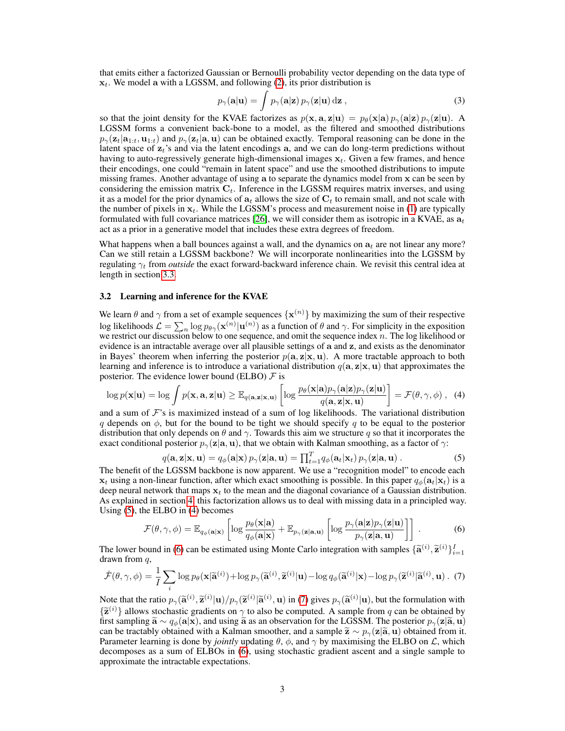that emits either a factorized Gaussian or Bernoulli probability vector depending on the data type of  $x_t$ . We model a with a LGSSM, and following (2), its prior distribution is

$$
p_{\gamma}(\mathbf{a}|\mathbf{u}) = \int p_{\gamma}(\mathbf{a}|\mathbf{z}) \, p_{\gamma}(\mathbf{z}|\mathbf{u}) \, \mathrm{d}\mathbf{z} \,, \tag{3}
$$

so that the joint density for the KVAE factorizes as  $p(x, a, z|u) = p_\theta(x|a) p_\gamma(a|z) p_\gamma(z|u)$ . A LGSSM forms a convenient back-bone to a model, as the filtered and smoothed distributions  $p_{\gamma}(z_t|a_{1:t}, u_{1:t})$  and  $p_{\gamma}(z_t|a, u)$  can be obtained exactly. Temporal reasoning can be done in the latent space of  $z_t$ 's and via the latent encodings a, and we can do long-term predictions without having to auto-regressively generate high-dimensional images  $x_t$ . Given a few frames, and hence their encodings, one could "remain in latent space" and use the smoothed distributions to impute missing frames. Another advantage of using a to separate the dynamics model from x can be seen by considering the emission matrix  $C_t$ . Inference in the LGSSM requires matrix inverses, and using it as a model for the prior dynamics of  $a_t$  allows the size of  $C_t$  to remain small, and not scale with the number of pixels in  $x_t$ . While the LGSSM's process and measurement noise in (1) are typically formulated with full covariance matrices [26], we will consider them as isotropic in a KVAE, as  $a_t$ act as a prior in a generative model that includes these extra degrees of freedom.

What happens when a ball bounces against a wall, and the dynamics on  $a_t$  are not linear any more? Can we still retain a LGSSM backbone? We will incorporate nonlinearities into the LGSSM by regulating  $\gamma_t$  from *outside* the exact forward-backward inference chain. We revisit this central idea at length in section 3.3.

#### 3.2 Learning and inference for the KVAE

We learn  $\theta$  and  $\gamma$  from a set of example sequences  $\{x^{(n)}\}$  by maximizing the sum of their respective log likelihoods  $\mathcal{L} = \sum_n \log p_{\theta\gamma}(\mathbf{x}^{(n)} | \mathbf{u}^{(n)})$  as a function of  $\theta$  and  $\gamma$ . For simplicity in the exposition we restrict our discussion below to one sequence, and omit the sequence index n. The log likelihood or evidence is an intractable average over all plausible settings of a and z, and exists as the denominator in Bayes' theorem when inferring the posterior  $p(a, z|x, u)$ . A more tractable approach to both learning and inference is to introduce a variational distribution  $q(\mathbf{a}, \mathbf{z}|\mathbf{x}, \mathbf{u})$  that approximates the posterior. The evidence lower bound (ELBO)  $\mathcal F$  is

$$
\log p(\mathbf{x}|\mathbf{u}) = \log \int p(\mathbf{x}, \mathbf{a}, \mathbf{z}|\mathbf{u}) \geq \mathbb{E}_{q(\mathbf{a}, \mathbf{z}|\mathbf{x}, \mathbf{u})} \left[ \log \frac{p_{\theta}(\mathbf{x}|\mathbf{a})p_{\gamma}(\mathbf{a}|\mathbf{z})p_{\gamma}(\mathbf{z}|\mathbf{u})}{q(\mathbf{a}, \mathbf{z}|\mathbf{x}, \mathbf{u})} \right] = \mathcal{F}(\theta, \gamma, \phi) , \tag{4}
$$

and a sum of  $\mathcal F$ 's is maximized instead of a sum of log likelihoods. The variational distribution q depends on  $\phi$ , but for the bound to be tight we should specify q to be equal to the posterior distribution that only depends on  $\theta$  and  $\gamma$ . Towards this aim we structure q so that it incorporates the exact conditional posterior  $p_{\gamma}(\mathbf{z}|\mathbf{a}, \mathbf{u})$ , that we obtain with Kalman smoothing, as a factor of  $\gamma$ :

$$
q(\mathbf{a}, \mathbf{z}|\mathbf{x}, \mathbf{u}) = q_{\phi}(\mathbf{a}|\mathbf{x}) p_{\gamma}(\mathbf{z}|\mathbf{a}, \mathbf{u}) = \prod_{t=1}^{T} q_{\phi}(\mathbf{a}_t|\mathbf{x}_t) p_{\gamma}(\mathbf{z}|\mathbf{a}, \mathbf{u}). \tag{5}
$$

The benefit of the LGSSM backbone is now apparent. We use a "recognition model" to encode each  $x_t$  using a non-linear function, after which exact smoothing is possible. In this paper  $q_{\phi}(a_t|x_t)$  is a deep neural network that maps  $x_t$  to the mean and the diagonal covariance of a Gaussian distribution. As explained in section 4, this factorization allows us to deal with missing data in a principled way. Using (5), the ELBO in (4) becomes

$$
\mathcal{F}(\theta, \gamma, \phi) = \mathbb{E}_{q_{\phi}(\mathbf{a}|\mathbf{x})} \left[ \log \frac{p_{\theta}(\mathbf{x}|\mathbf{a})}{q_{\phi}(\mathbf{a}|\mathbf{x})} + \mathbb{E}_{p_{\gamma}(\mathbf{z}|\mathbf{a}, \mathbf{u})} \left[ \log \frac{p_{\gamma}(\mathbf{a}|\mathbf{z})p_{\gamma}(\mathbf{z}|\mathbf{u})}{p_{\gamma}(\mathbf{z}|\mathbf{a}, \mathbf{u})} \right] \right].
$$
 (6)

The lower bound in (6) can be estimated using Monte Carlo integration with samples  $\{\widetilde{\mathbf{a}}^{(i)}, \widetilde{\mathbf{z}}^{(i)}\}_{i=1}^I$ drawn from  $q$ ,

$$
\hat{\mathcal{F}}(\theta,\gamma,\phi) = \frac{1}{I} \sum_{i} \log p_{\theta}(\mathbf{x}|\tilde{\mathbf{a}}^{(i)}) + \log p_{\gamma}(\tilde{\mathbf{a}}^{(i)},\tilde{\mathbf{z}}^{(i)}|\mathbf{u}) - \log q_{\phi}(\tilde{\mathbf{a}}^{(i)}|\mathbf{x}) - \log p_{\gamma}(\tilde{\mathbf{z}}^{(i)}|\tilde{\mathbf{a}}^{(i)},\mathbf{u})
$$
 (7)

Note that the ratio  $p_{\gamma}(\mathbf{\widetilde{a}}^{(i)}|\mathbf{u})/p_{\gamma}(\mathbf{\widetilde{z}}^{(i)}|\mathbf{\widetilde{a}}^{(i)}, \mathbf{u})$  in (7) gives  $p_{\gamma}(\mathbf{\widetilde{a}}^{(i)}|\mathbf{u})$ , but the formulation with  $(\mathbf{\widetilde{a}}^{(i)})$  allows etcohostic analients on a to also be somma  ${\tilde{\mathbf{z}}^{(i)}}$  allows stochastic gradients on  $\gamma$  to also be computed. A sample from q can be obtained by<br>first sampling  $\tilde{\mathbf{z}} \propto a_{\ell}(\mathbf{z}|\mathbf{x})$  and using  $\tilde{\mathbf{z}}$  as an observation for the LGSSM. The posterio first sampling  $\tilde{\mathbf{a}} \sim q_{\phi}(\mathbf{a}|\mathbf{x})$ , and using  $\tilde{\mathbf{a}}$  as an observation for the LGSSM. The posterior  $p_{\gamma}(\mathbf{z}|\tilde{\mathbf{a}}, \mathbf{u})$ can be tractably obtained with a Kalman smoother, and a sample  $\tilde{\mathbf{z}} \sim p_{\gamma}(\mathbf{z}|\tilde{\mathbf{a}}, \mathbf{u})$  obtained from it. Parameter learning is done by *jointly* updating  $\theta$ ,  $\phi$ , and  $\gamma$  by maximising the ELBO on  $\mathcal{L}$ , which decomposes as a sum of ELBOs in (6), using stochastic gradient ascent and a single sample to approximate the intractable expectations.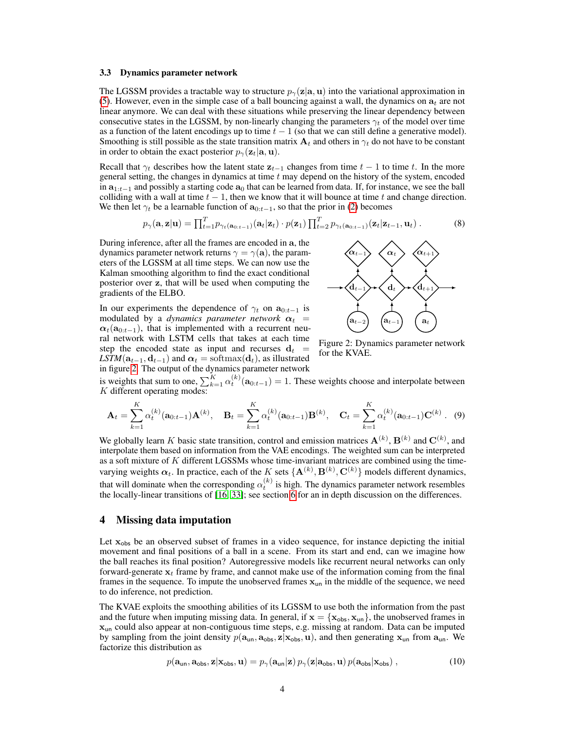#### 3.3 Dynamics parameter network

The LGSSM provides a tractable way to structure  $p_{\gamma}(z|a, u)$  into the variational approximation in (5). However, even in the simple case of a ball bouncing against a wall, the dynamics on  $a_t$  are not linear anymore. We can deal with these situations while preserving the linear dependency between consecutive states in the LGSSM, by non-linearly changing the parameters  $\gamma_t$  of the model over time as a function of the latent encodings up to time  $t - 1$  (so that we can still define a generative model). Smoothing is still possible as the state transition matrix  $A_t$  and others in  $\gamma_t$  do not have to be constant in order to obtain the exact posterior  $p_{\gamma}(\mathbf{z}_t|\mathbf{a}, \mathbf{u})$ .

Recall that  $\gamma_t$  describes how the latent state  $z_{t-1}$  changes from time  $t - 1$  to time t. In the more general setting, the changes in dynamics at time  $t$  may depend on the history of the system, encoded in  $a_{1:t-1}$  and possibly a starting code  $a_0$  that can be learned from data. If, for instance, we see the ball colliding with a wall at time  $t - 1$ , then we know that it will bounce at time t and change direction. We then let  $\gamma_t$  be a learnable function of  $\mathbf{a}_{0:t-1}$ , so that the prior in (2) becomes

$$
p_{\gamma}(\mathbf{a}, \mathbf{z}|\mathbf{u}) = \prod_{t=1}^{T} p_{\gamma_t(\mathbf{a}_{0:t-1})}(\mathbf{a}_t|\mathbf{z}_t) \cdot p(\mathbf{z}_1) \prod_{t=2}^{T} p_{\gamma_t(\mathbf{a}_{0:t-1})}(\mathbf{z}_t|\mathbf{z}_{t-1}, \mathbf{u}_t).
$$
(8)

During inference, after all the frames are encoded in a, the dynamics parameter network returns  $\gamma = \gamma(\mathbf{a})$ , the parameters of the LGSSM at all time steps. We can now use the Kalman smoothing algorithm to find the exact conditional posterior over z, that will be used when computing the gradients of the ELBO.

In our experiments the dependence of  $\gamma_t$  on  $\mathbf{a}_{0:t-1}$  is modulated by a *dynamics parameter network*  $\alpha_t$  =  $\alpha_t(\mathbf{a}_{0:t-1})$ , that is implemented with a recurrent neural network with LSTM cells that takes at each time step the encoded state as input and recurses  $d_t =$  $LSTM(a_{t-1}, d_{t-1})$  and  $\alpha_t = softmax(d_t)$ , as illustrated in figure 2. The output of the dynamics parameter network



Figure 2: Dynamics parameter network for the KVAE.

is weights that sum to one,  $\sum_{k=1}^{K} \alpha_k^{(k)}(\mathbf{a}_{0:t-1}) = 1$ . These weights choose and interpolate between K different operating modes:

$$
\mathbf{A}_{t} = \sum_{k=1}^{K} \alpha_{t}^{(k)}(\mathbf{a}_{0:t-1}) \mathbf{A}^{(k)}, \quad \mathbf{B}_{t} = \sum_{k=1}^{K} \alpha_{t}^{(k)}(\mathbf{a}_{0:t-1}) \mathbf{B}^{(k)}, \quad \mathbf{C}_{t} = \sum_{k=1}^{K} \alpha_{t}^{(k)}(\mathbf{a}_{0:t-1}) \mathbf{C}^{(k)}.
$$
 (9)

We globally learn K basic state transition, control and emission matrices  $A^{(k)}$ ,  $B^{(k)}$  and  $C^{(k)}$ , and interpolate them based on information from the VAE encodings. The weighted sum can be interpreted as a soft mixture of K different LGSSMs whose time-invariant matrices are combined using the timevarying weights  $\alpha_t$ . In practice, each of the K sets  $\{{\bf A}^{(k)},{\bf B}^{(k)},{\bf C}^{(k)}\}$  models different dynamics, that will dominate when the corresponding  $\alpha_t^{(k)}$  is high. The dynamics parameter network resembles the locally-linear transitions of [16, 33]; see section 6 for an in depth discussion on the differences.

## 4 Missing data imputation

Let  $x_{obs}$  be an observed subset of frames in a video sequence, for instance depicting the initial movement and final positions of a ball in a scene. From its start and end, can we imagine how the ball reaches its final position? Autoregressive models like recurrent neural networks can only forward-generate  $x_t$  frame by frame, and cannot make use of the information coming from the final frames in the sequence. To impute the unobserved frames  $x_{un}$  in the middle of the sequence, we need to do inference, not prediction.

The KVAE exploits the smoothing abilities of its LGSSM to use both the information from the past and the future when imputing missing data. In general, if  $\mathbf{x} = {\mathbf{x}_{obs}, \mathbf{x}_{un}}$ , the unobserved frames in xun could also appear at non-contiguous time steps, e.g. missing at random. Data can be imputed by sampling from the joint density  $p(\mathbf{a}_{un}, \mathbf{a}_{obs}, \mathbf{z} | \mathbf{x}_{obs}, \mathbf{u})$ , and then generating  $\mathbf{x}_{un}$  from  $\mathbf{a}_{un}$ . We factorize this distribution as

$$
p(\mathbf{a}_{\mathsf{un}}, \mathbf{a}_{\mathsf{obs}}, \mathbf{z} | \mathbf{x}_{\mathsf{obs}}, \mathbf{u}) = p_{\gamma}(\mathbf{a}_{\mathsf{un}} | \mathbf{z}) p_{\gamma}(\mathbf{z} | \mathbf{a}_{\mathsf{obs}}, \mathbf{u}) p(\mathbf{a}_{\mathsf{obs}} | \mathbf{x}_{\mathsf{obs}}), \qquad (10)
$$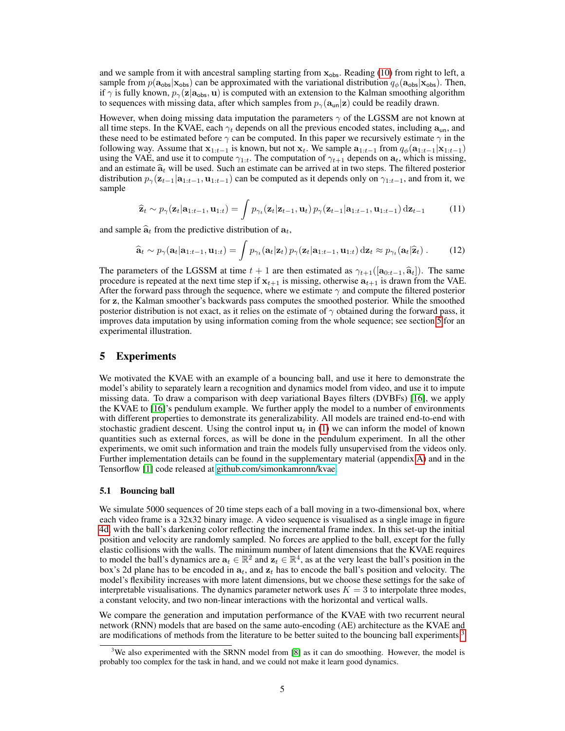and we sample from it with ancestral sampling starting from  $x_{obs}$ . Reading (10) from right to left, a sample from  $p(\mathbf{a}_{obs}|\mathbf{x}_{obs})$  can be approximated with the variational distribution  $q_{\phi}(\mathbf{a}_{obs}|\mathbf{x}_{obs})$ . Then, if  $\gamma$  is fully known,  $p_{\gamma}(z|a_{obs}, u)$  is computed with an extension to the Kalman smoothing algorithm to sequences with missing data, after which samples from  $p_{\gamma}(\mathbf{a}_{un}|\mathbf{z})$  could be readily drawn.

However, when doing missing data imputation the parameters  $\gamma$  of the LGSSM are not known at all time steps. In the KVAE, each  $\gamma_t$  depends on all the previous encoded states, including  $a_{\mu}$ , and these need to be estimated before  $\gamma$  can be computed. In this paper we recursively estimate  $\gamma$  in the following way. Assume that  $x_{1:t-1}$  is known, but not  $x_t$ . We sample  $a_{1:t-1}$  from  $q_{\phi}(a_{1:t-1} | x_{1:t-1})$ using the VAE, and use it to compute  $\gamma_{1:t}$ . The computation of  $\gamma_{t+1}$  depends on  $a_t$ , which is missing, and an estimate  $\hat{a}_t$  will be used. Such an estimate can be arrived at in two steps. The filtered posterior distribution  $p_{\gamma}(\mathbf{z}_{t-1}|\mathbf{a}_{1:t-1}, \mathbf{u}_{1:t-1})$  can be computed as it depends only on  $\gamma_{1:t-1}$ , and from it, we sample

$$
\widehat{\mathbf{z}}_t \sim p_{\gamma}(\mathbf{z}_t | \mathbf{a}_{1:t-1}, \mathbf{u}_{1:t}) = \int p_{\gamma_t}(\mathbf{z}_t | \mathbf{z}_{t-1}, \mathbf{u}_t) p_{\gamma}(\mathbf{z}_{t-1} | \mathbf{a}_{1:t-1}, \mathbf{u}_{1:t-1}) \, d\mathbf{z}_{t-1} \tag{11}
$$

and sample  $\hat{a}_t$  from the predictive distribution of  $a_t$ ,

$$
\widehat{\mathbf{a}}_t \sim p_{\gamma}(\mathbf{a}_t | \mathbf{a}_{1:t-1}, \mathbf{u}_{1:t}) = \int p_{\gamma_t}(\mathbf{a}_t | \mathbf{z}_t) p_{\gamma}(\mathbf{z}_t | \mathbf{a}_{1:t-1}, \mathbf{u}_{1:t}) \, d\mathbf{z}_t \approx p_{\gamma_t}(\mathbf{a}_t | \widehat{\mathbf{z}}_t).
$$
 (12)

The parameters of the LGSSM at time  $t + 1$  are then estimated as  $\gamma_{t+1}([\mathbf{a}_{0:t-1}, \hat{\mathbf{a}}_t])$ . The same procedure is repeated at the next time step if  $x_{t+1}$  is missing, otherwise  $a_{t+1}$  is drawn from the VAE. After the forward pass through the sequence, where we estimate  $\gamma$  and compute the filtered posterior for z, the Kalman smoother's backwards pass computes the smoothed posterior. While the smoothed posterior distribution is not exact, as it relies on the estimate of  $\gamma$  obtained during the forward pass, it improves data imputation by using information coming from the whole sequence; see section 5 for an experimental illustration.

## 5 Experiments

We motivated the KVAE with an example of a bouncing ball, and use it here to demonstrate the model's ability to separately learn a recognition and dynamics model from video, and use it to impute missing data. To draw a comparison with deep variational Bayes filters (DVBFs) [16], we apply the KVAE to [16]'s pendulum example. We further apply the model to a number of environments with different properties to demonstrate its generalizability. All models are trained end-to-end with stochastic gradient descent. Using the control input  $u_t$  in (1) we can inform the model of known quantities such as external forces, as will be done in the pendulum experiment. In all the other experiments, we omit such information and train the models fully unsupervised from the videos only. Further implementation details can be found in the supplementary material (appendix A) and in the Tensorflow [1] code released at [github.com/simonkamronn/kvae.](https://github.com/simonkamronn/kvae)

#### 5.1 Bouncing ball

We simulate 5000 sequences of 20 time steps each of a ball moving in a two-dimensional box, where each video frame is a 32x32 binary image. A video sequence is visualised as a single image in figure 4d, with the ball's darkening color reflecting the incremental frame index. In this set-up the initial position and velocity are randomly sampled. No forces are applied to the ball, except for the fully elastic collisions with the walls. The minimum number of latent dimensions that the KVAE requires to model the ball's dynamics are  $a_t \in \mathbb{R}^2$  and  $z_t \in \mathbb{R}^4$ , as at the very least the ball's position in the box's 2d plane has to be encoded in  $a_t$ , and  $z_t$  has to encode the ball's position and velocity. The model's flexibility increases with more latent dimensions, but we choose these settings for the sake of interpretable visualisations. The dynamics parameter network uses  $K = 3$  to interpolate three modes, a constant velocity, and two non-linear interactions with the horizontal and vertical walls.

We compare the generation and imputation performance of the KVAE with two recurrent neural network (RNN) models that are based on the same auto-encoding (AE) architecture as the KVAE and are modifications of methods from the literature to be better suited to the bouncing ball experiments.<sup>3</sup>

<sup>&</sup>lt;sup>3</sup>We also experimented with the SRNN model from [8] as it can do smoothing. However, the model is probably too complex for the task in hand, and we could not make it learn good dynamics.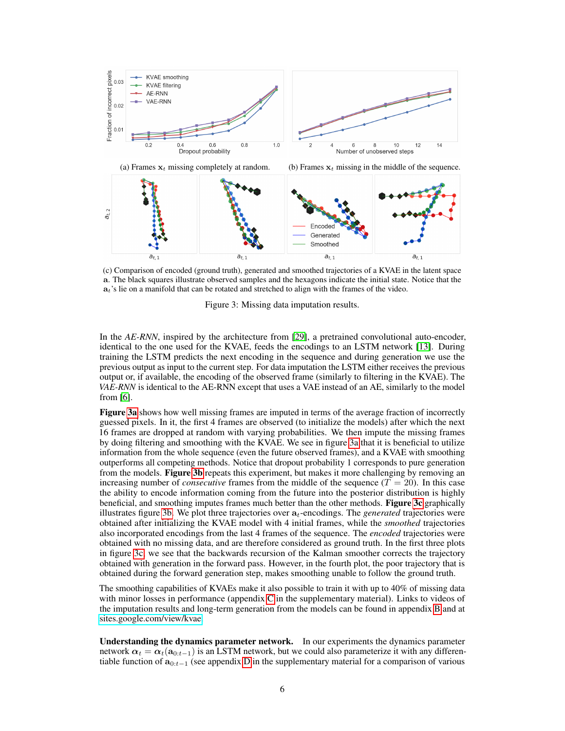

(c) Comparison of encoded (ground truth), generated and smoothed trajectories of a KVAE in the latent space a. The black squares illustrate observed samples and the hexagons indicate the initial state. Notice that the  $a_t$ 's lie on a manifold that can be rotated and stretched to align with the frames of the video.



In the *AE-RNN*, inspired by the architecture from [29], a pretrained convolutional auto-encoder, identical to the one used for the KVAE, feeds the encodings to an LSTM network [13]. During training the LSTM predicts the next encoding in the sequence and during generation we use the previous output as input to the current step. For data imputation the LSTM either receives the previous output or, if available, the encoding of the observed frame (similarly to filtering in the KVAE). The *VAE-RNN* is identical to the AE-RNN except that uses a VAE instead of an AE, similarly to the model from [6].

Figure 3a shows how well missing frames are imputed in terms of the average fraction of incorrectly guessed pixels. In it, the first 4 frames are observed (to initialize the models) after which the next 16 frames are dropped at random with varying probabilities. We then impute the missing frames by doing filtering and smoothing with the KVAE. We see in figure 3a that it is beneficial to utilize information from the whole sequence (even the future observed frames), and a KVAE with smoothing outperforms all competing methods. Notice that dropout probability 1 corresponds to pure generation from the models. Figure 3b repeats this experiment, but makes it more challenging by removing an increasing number of *consecutive* frames from the middle of the sequence  $(T = 20)$ . In this case the ability to encode information coming from the future into the posterior distribution is highly beneficial, and smoothing imputes frames much better than the other methods. Figure 3c graphically illustrates figure 3b. We plot three trajectories over  $a_t$ -encodings. The *generated* trajectories were obtained after initializing the KVAE model with 4 initial frames, while the *smoothed* trajectories also incorporated encodings from the last 4 frames of the sequence. The *encoded* trajectories were obtained with no missing data, and are therefore considered as ground truth. In the first three plots in figure 3c, we see that the backwards recursion of the Kalman smoother corrects the trajectory obtained with generation in the forward pass. However, in the fourth plot, the poor trajectory that is obtained during the forward generation step, makes smoothing unable to follow the ground truth.

The smoothing capabilities of KVAEs make it also possible to train it with up to 40% of missing data with minor losses in performance (appendix C in the supplementary material). Links to videos of the imputation results and long-term generation from the models can be found in appendix B and at [sites.google.com/view/kvae.](https://sites.google.com/view/kvae)

Understanding the dynamics parameter network. In our experiments the dynamics parameter network  $\alpha_t = \alpha_t(a_{0:t-1})$  is an LSTM network, but we could also parameterize it with any differentiable function of  $\mathbf{a}_{0:t-1}$  (see appendix D in the supplementary material for a comparison of various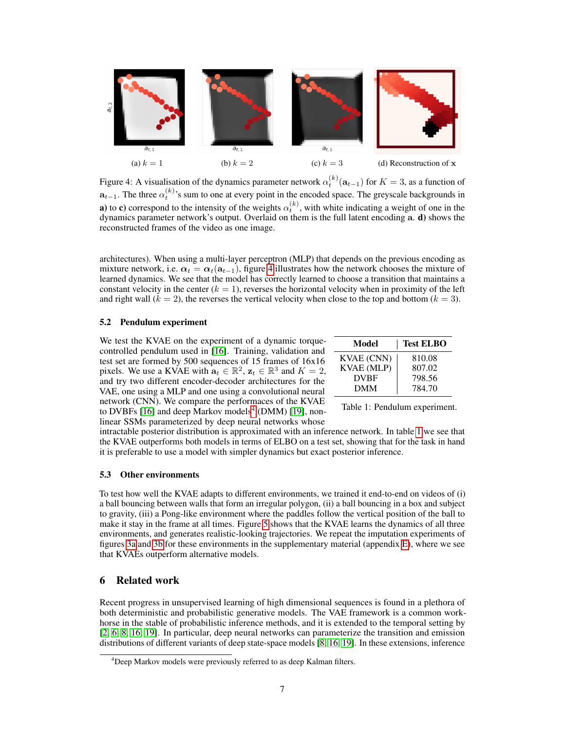

Figure 4: A visualisation of the dynamics parameter network  $\alpha_t^{(k)}(\mathbf{a}_{t-1})$  for  $K = 3$ , as a function of  $a_{t-1}$ . The three  $\alpha_t^{(k)}$ 's sum to one at every point in the encoded space. The greyscale backgrounds in **a**) to **c**) correspond to the intensity of the weights  $\alpha_t^{(k)}$ , with white indicating a weight of one in the dynamics parameter network's output. Overlaid on them is the full latent encoding a. d) shows the reconstructed frames of the video as one image.

architectures). When using a multi-layer perceptron (MLP) that depends on the previous encoding as mixture network, i.e.  $\alpha_t = \alpha_t(a_{t-1})$ , figure 4 illustrates how the network chooses the mixture of learned dynamics. We see that the model has correctly learned to choose a transition that maintains a constant velocity in the center  $(k = 1)$ , reverses the horizontal velocity when in proximity of the left and right wall  $(k = 2)$ , the reverses the vertical velocity when close to the top and bottom  $(k = 3)$ .

#### 5.2 Pendulum experiment

We test the KVAE on the experiment of a dynamic torquecontrolled pendulum used in [16]. Training, validation and test set are formed by 500 sequences of 15 frames of 16x16 pixels. We use a KVAE with  $\mathbf{a}_t \in \mathbb{R}^2$ ,  $\mathbf{z}_t \in \mathbb{R}^3$  and  $K = 2$ , and try two different encoder-decoder architectures for the VAE, one using a MLP and one using a convolutional neural network (CNN). We compare the performaces of the KVAE to DVBFs [16] and deep Markov models<sup>4</sup> (DMM) [19], nonlinear SSMs parameterized by deep neural networks whose

| Model             | <b>Test ELBO</b> |
|-------------------|------------------|
| <b>KVAE</b> (CNN) | 810.08           |
| <b>KVAE</b> (MLP) | 807.02           |
| <b>DVBF</b>       | 798.56           |
| DMM               | 784.70           |

Table 1: Pendulum experiment.

intractable posterior distribution is approximated with an inference network. In table 1 we see that the KVAE outperforms both models in terms of ELBO on a test set, showing that for the task in hand it is preferable to use a model with simpler dynamics but exact posterior inference.

#### 5.3 Other environments

To test how well the KVAE adapts to different environments, we trained it end-to-end on videos of (i) a ball bouncing between walls that form an irregular polygon, (ii) a ball bouncing in a box and subject to gravity, (iii) a Pong-like environment where the paddles follow the vertical position of the ball to make it stay in the frame at all times. Figure 5 shows that the KVAE learns the dynamics of all three environments, and generates realistic-looking trajectories. We repeat the imputation experiments of figures 3a and 3b for these environments in the supplementary material (appendix E), where we see that KVAEs outperform alternative models.

# 6 Related work

Recent progress in unsupervised learning of high dimensional sequences is found in a plethora of both deterministic and probabilistic generative models. The VAE framework is a common workhorse in the stable of probabilistic inference methods, and it is extended to the temporal setting by [2, 6, 8, 16, 19]. In particular, deep neural networks can parameterize the transition and emission distributions of different variants of deep state-space models [8, 16, 19]. In these extensions, inference

<sup>&</sup>lt;sup>4</sup>Deep Markov models were previously referred to as deep Kalman filters.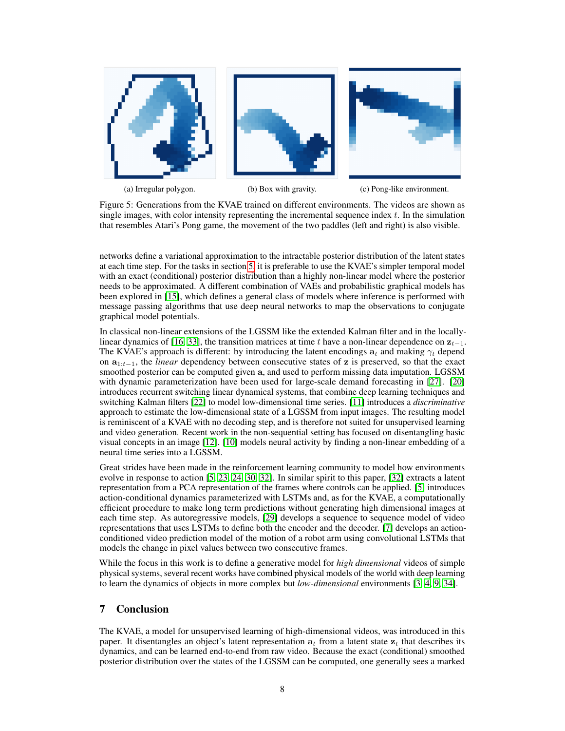

Figure 5: Generations from the KVAE trained on different environments. The videos are shown as single images, with color intensity representing the incremental sequence index  $t$ . In the simulation that resembles Atari's Pong game, the movement of the two paddles (left and right) is also visible.

networks define a variational approximation to the intractable posterior distribution of the latent states at each time step. For the tasks in section 5, it is preferable to use the KVAE's simpler temporal model with an exact (conditional) posterior distribution than a highly non-linear model where the posterior needs to be approximated. A different combination of VAEs and probabilistic graphical models has been explored in [15], which defines a general class of models where inference is performed with message passing algorithms that use deep neural networks to map the observations to conjugate graphical model potentials.

In classical non-linear extensions of the LGSSM like the extended Kalman filter and in the locallylinear dynamics of [16, 33], the transition matrices at time t have a non-linear dependence on  $z_{t-1}$ . The KVAE's approach is different: by introducing the latent encodings  $a_t$  and making  $\gamma_t$  depend on a1:t−1, the *linear* dependency between consecutive states of z is preserved, so that the exact smoothed posterior can be computed given a, and used to perform missing data imputation. LGSSM with dynamic parameterization have been used for large-scale demand forecasting in [27]. [20] introduces recurrent switching linear dynamical systems, that combine deep learning techniques and switching Kalman filters [22] to model low-dimensional time series. [11] introduces a *discriminative* approach to estimate the low-dimensional state of a LGSSM from input images. The resulting model is reminiscent of a KVAE with no decoding step, and is therefore not suited for unsupervised learning and video generation. Recent work in the non-sequential setting has focused on disentangling basic visual concepts in an image [12]. [10] models neural activity by finding a non-linear embedding of a neural time series into a LGSSM.

Great strides have been made in the reinforcement learning community to model how environments evolve in response to action [5, 23, 24, 30, 32]. In similar spirit to this paper, [32] extracts a latent representation from a PCA representation of the frames where controls can be applied. [5] introduces action-conditional dynamics parameterized with LSTMs and, as for the KVAE, a computationally efficient procedure to make long term predictions without generating high dimensional images at each time step. As autoregressive models, [29] develops a sequence to sequence model of video representations that uses LSTMs to define both the encoder and the decoder. [7] develops an actionconditioned video prediction model of the motion of a robot arm using convolutional LSTMs that models the change in pixel values between two consecutive frames.

While the focus in this work is to define a generative model for *high dimensional* videos of simple physical systems, several recent works have combined physical models of the world with deep learning to learn the dynamics of objects in more complex but *low-dimensional* environments [3, 4, 9, 34].

# 7 Conclusion

The KVAE, a model for unsupervised learning of high-dimensional videos, was introduced in this paper. It disentangles an object's latent representation  $a_t$  from a latent state  $z_t$  that describes its dynamics, and can be learned end-to-end from raw video. Because the exact (conditional) smoothed posterior distribution over the states of the LGSSM can be computed, one generally sees a marked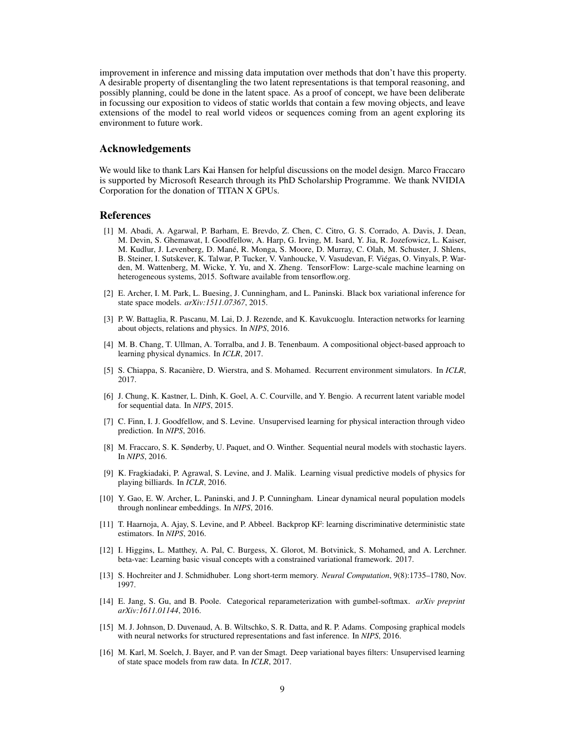improvement in inference and missing data imputation over methods that don't have this property. A desirable property of disentangling the two latent representations is that temporal reasoning, and possibly planning, could be done in the latent space. As a proof of concept, we have been deliberate in focussing our exposition to videos of static worlds that contain a few moving objects, and leave extensions of the model to real world videos or sequences coming from an agent exploring its environment to future work.

## Acknowledgements

We would like to thank Lars Kai Hansen for helpful discussions on the model design. Marco Fraccaro is supported by Microsoft Research through its PhD Scholarship Programme. We thank NVIDIA Corporation for the donation of TITAN X GPUs.

## **References**

- [1] M. Abadi, A. Agarwal, P. Barham, E. Brevdo, Z. Chen, C. Citro, G. S. Corrado, A. Davis, J. Dean, M. Devin, S. Ghemawat, I. Goodfellow, A. Harp, G. Irving, M. Isard, Y. Jia, R. Jozefowicz, L. Kaiser, M. Kudlur, J. Levenberg, D. Mané, R. Monga, S. Moore, D. Murray, C. Olah, M. Schuster, J. Shlens, B. Steiner, I. Sutskever, K. Talwar, P. Tucker, V. Vanhoucke, V. Vasudevan, F. Viégas, O. Vinyals, P. Warden, M. Wattenberg, M. Wicke, Y. Yu, and X. Zheng. TensorFlow: Large-scale machine learning on heterogeneous systems, 2015. Software available from tensorflow.org.
- [2] E. Archer, I. M. Park, L. Buesing, J. Cunningham, and L. Paninski. Black box variational inference for state space models. *arXiv:1511.07367*, 2015.
- [3] P. W. Battaglia, R. Pascanu, M. Lai, D. J. Rezende, and K. Kavukcuoglu. Interaction networks for learning about objects, relations and physics. In *NIPS*, 2016.
- [4] M. B. Chang, T. Ullman, A. Torralba, and J. B. Tenenbaum. A compositional object-based approach to learning physical dynamics. In *ICLR*, 2017.
- [5] S. Chiappa, S. Racanière, D. Wierstra, and S. Mohamed. Recurrent environment simulators. In *ICLR*, 2017.
- [6] J. Chung, K. Kastner, L. Dinh, K. Goel, A. C. Courville, and Y. Bengio. A recurrent latent variable model for sequential data. In *NIPS*, 2015.
- [7] C. Finn, I. J. Goodfellow, and S. Levine. Unsupervised learning for physical interaction through video prediction. In *NIPS*, 2016.
- [8] M. Fraccaro, S. K. Sønderby, U. Paquet, and O. Winther. Sequential neural models with stochastic layers. In *NIPS*, 2016.
- [9] K. Fragkiadaki, P. Agrawal, S. Levine, and J. Malik. Learning visual predictive models of physics for playing billiards. In *ICLR*, 2016.
- [10] Y. Gao, E. W. Archer, L. Paninski, and J. P. Cunningham. Linear dynamical neural population models through nonlinear embeddings. In *NIPS*, 2016.
- [11] T. Haarnoja, A. Ajay, S. Levine, and P. Abbeel. Backprop KF: learning discriminative deterministic state estimators. In *NIPS*, 2016.
- [12] I. Higgins, L. Matthey, A. Pal, C. Burgess, X. Glorot, M. Botvinick, S. Mohamed, and A. Lerchner. beta-vae: Learning basic visual concepts with a constrained variational framework. 2017.
- [13] S. Hochreiter and J. Schmidhuber. Long short-term memory. *Neural Computation*, 9(8):1735–1780, Nov. 1997.
- [14] E. Jang, S. Gu, and B. Poole. Categorical reparameterization with gumbel-softmax. *arXiv preprint arXiv:1611.01144*, 2016.
- [15] M. J. Johnson, D. Duvenaud, A. B. Wiltschko, S. R. Datta, and R. P. Adams. Composing graphical models with neural networks for structured representations and fast inference. In *NIPS*, 2016.
- [16] M. Karl, M. Soelch, J. Bayer, and P. van der Smagt. Deep variational bayes filters: Unsupervised learning of state space models from raw data. In *ICLR*, 2017.